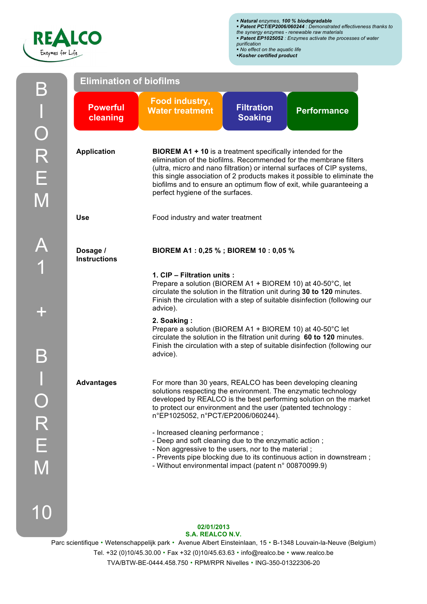

| <b>Elimination of biofilms</b>  |                                                                                                                                                                                                                                                                                                                                                                                                            |                                      |                    |  |  |  |  |  |
|---------------------------------|------------------------------------------------------------------------------------------------------------------------------------------------------------------------------------------------------------------------------------------------------------------------------------------------------------------------------------------------------------------------------------------------------------|--------------------------------------|--------------------|--|--|--|--|--|
| <b>Powerful</b><br>cleaning     | Food industry,<br><b>Water treatment</b>                                                                                                                                                                                                                                                                                                                                                                   | <b>Filtration</b><br><b>Soaking</b>  | <b>Performance</b> |  |  |  |  |  |
| <b>Application</b>              | <b>BIOREM A1 + 10</b> is a treatment specifically intended for the<br>elimination of the biofilms. Recommended for the membrane filters<br>(ultra, micro and nano filtration) or internal surfaces of CIP systems,<br>this single association of 2 products makes it possible to eliminate the<br>biofilms and to ensure an optimum flow of exit, while guaranteeing a<br>perfect hygiene of the surfaces. |                                      |                    |  |  |  |  |  |
| <b>Use</b>                      | Food industry and water treatment                                                                                                                                                                                                                                                                                                                                                                          |                                      |                    |  |  |  |  |  |
| Dosage /<br><b>Instructions</b> |                                                                                                                                                                                                                                                                                                                                                                                                            | BIOREM A1: 0,25 %; BIOREM 10: 0,05 % |                    |  |  |  |  |  |
|                                 | 1. CIP - Filtration units :<br>Prepare a solution (BIOREM A1 + BIOREM 10) at 40-50°C, let<br>circulate the solution in the filtration unit during 30 to 120 minutes.<br>Finish the circulation with a step of suitable disinfection (following our<br>advice).                                                                                                                                             |                                      |                    |  |  |  |  |  |
|                                 | 2. Soaking:<br>Prepare a solution (BIOREM A1 + BIOREM 10) at 40-50°C let<br>circulate the solution in the filtration unit during 60 to 120 minutes.<br>Finish the circulation with a step of suitable disinfection (following our<br>advice).                                                                                                                                                              |                                      |                    |  |  |  |  |  |
| <b>Advantages</b>               | For more than 30 years, REALCO has been developing cleaning<br>solutions respecting the environment. The enzymatic technology<br>developed by REALCO is the best performing solution on the market<br>to protect our environment and the user (patented technology :<br>n°EP1025052, n°PCT/EP2006/060244).                                                                                                 |                                      |                    |  |  |  |  |  |
|                                 | - Increased cleaning performance;<br>- Deep and soft cleaning due to the enzymatic action;<br>- Non aggressive to the users, nor to the material;<br>- Prevents pipe blocking due to its continuous action in downstream;<br>- Without environmental impact (patent n° 00870099.9)                                                                                                                         |                                      |                    |  |  |  |  |  |

## **02/01/2013 S.A. REALCO N.V.**

Parc scientifique • Wetenschappelijk park • Avenue Albert Einsteinlaan, 15 • B-1348 Louvain-la-Neuve (Belgium) Tel. +32 (0)10/45.30.00 • Fax +32 (0)10/45.63.63 • info@realco.be • www.realco.be TVA/BTW-BE-0444.458.750 • RPM/RPR Nivelles • ING-350-01322306-20